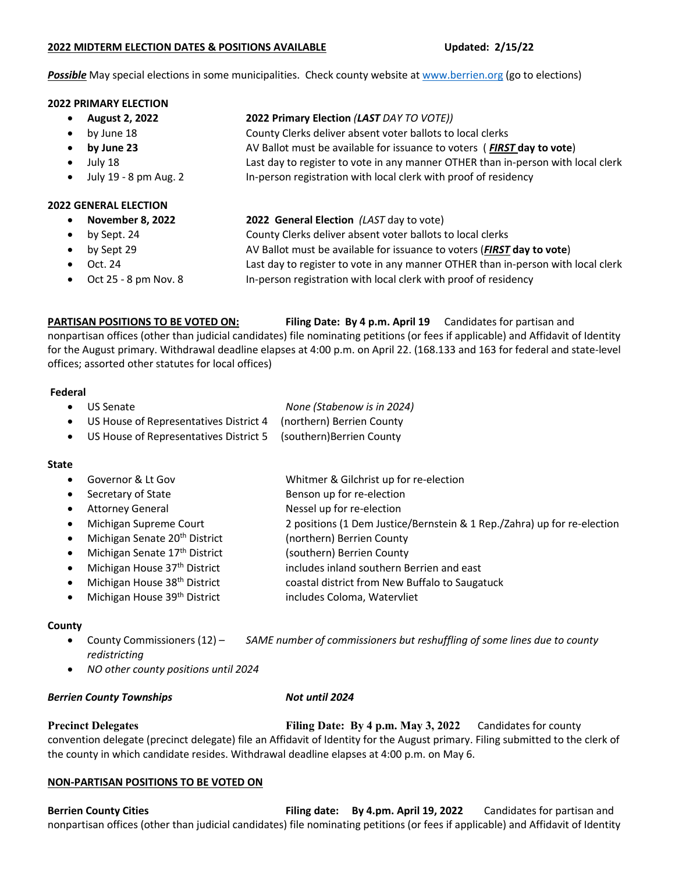#### **2022 MIDTERM ELECTION DATES & POSITIONS AVAILABLE Updated: 2/15/22**

*Possible* May special elections in some municipalities. Check county website at [www.berrien.org](http://www.berrien.org/) (go to elections)

#### **2022 PRIMARY ELECTION**

- 
- **August 2, 2022 2022 Primary Election** *(LAST DAY TO VOTE))*
- by June 18 County Clerks deliver absent voter ballots to local clerks
- **by June 23** AV Ballot must be available for issuance to voters ( *FIRST* **day to vote**)
- July 18 Last day to register to vote in any manner OTHER than in-person with local clerk
- July 19 8 pm Aug. 2 In-person registration with local clerk with proof of residency

# **2022 GENERAL ELECTION**

- **November 8, 2022 2022 General Election** *(LAST* day to vote)
- by Sept. 24 County Clerks deliver absent voter ballots to local clerks
- by Sept 29 AV Ballot must be available for issuance to voters (*FIRST* **day to vote**)
- Oct. 24 Last day to register to vote in any manner OTHER than in-person with local clerk
- Oct 25 8 pm Nov. 8 In-person registration with local clerk with proof of residency

**PARTISAN POSITIONS TO BE VOTED ON: Filing Date: By 4 p.m. April 19** Candidates for partisan and

nonpartisan offices (other than judicial candidates) file nominating petitions (or fees if applicable) and Affidavit of Identity for the August primary. Withdrawal deadline elapses at 4:00 p.m. on April 22. (168.133 and 163 for federal and state-level offices; assorted other statutes for local offices)

## **Federal**

|  | • US Senate | None (Stabenow is in 2024) |
|--|-------------|----------------------------|
|--|-------------|----------------------------|

- US House of Representatives District 4 (northern) Berrien County
- US House of Representatives District 5 (southern)Berrien County

## **State**

- Governor & Lt Gov Whitmer & Gilchrist up for re-election
- Secretary of State Benson up for re-election
- Attorney General **Access 19 For the Strutter Attorney General** Access 19 Nessel up for re-election
- Michigan Supreme Court 2 positions (1 Dem Justice/Bernstein & 1 Rep./Zahra) up for re-election
- Michigan Senate 20<sup>th</sup> District (northern) Berrien County
- Michigan Senate 17<sup>th</sup> District (southern) Berrien County
- Michigan House 37<sup>th</sup> District includes inland southern Berrien and east
- Michigan House  $38<sup>th</sup>$  District coastal district from New Buffalo to Saugatuck
- Michigan House 39<sup>th</sup> District includes Coloma, Watervliet

## **County**

- County Commissioners (12) *SAME number of commissioners but reshuffling of some lines due to county redistricting*
- *NO other county positions until 2024*

## *Berrien County Townships Not until 2024*

**Precinct Delegates Filing Date: By 4 p.m. May 3, 2022** Candidates for county convention delegate (precinct delegate) file an Affidavit of Identity for the August primary. Filing submitted to the clerk of the county in which candidate resides. Withdrawal deadline elapses at 4:00 p.m. on May 6.

## **NON-PARTISAN POSITIONS TO BE VOTED ON**

**Berrien County Cities Filing date: By 4.pm. April 19, 2022** Candidates for partisan and nonpartisan offices (other than judicial candidates) file nominating petitions (or fees if applicable) and Affidavit of Identity